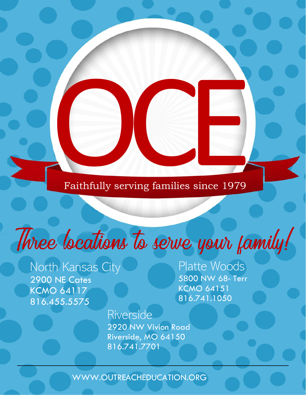Faithfully serving families since 1979 Faithfully serving families since 1979

## $\overline{\phantom{a}}$  $\mathbf{r}$

North Kansas City 2900 NE Cates KCMO 64117 816.455.5575

,

Ì

Platte Woods 5800 NW 68<sup>th</sup> Terr KCMO 64151 816.741.1050

Riverside 2920 NW Vivion Road Riverside, MO 64150 816.741.7701

WWW.OUTREACHEDUCATION.ORG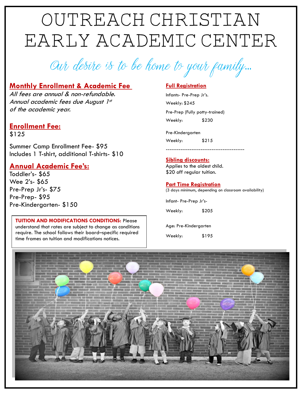# Outreach Christian Early Academic Center

Our desire is to be home to your family...

## **Monthly Enrollment & Academic Fee**

All fees are annual & non-refundable. Annual academic fees due August 1st of the academic year.

### **Enrollment Fee:** \$125

Summer Camp Enrollment Fee- \$95 Includes 1 T-shirt, additional T-shirts- \$10

## **Annual Academic Fee's:**

Toddler's- \$65 Wee 2's- \$65 Pre-Prep Jr's- \$75 Pre-Prep- \$95 Pre-Kindergarten- \$150

#### **TUITION AND MODIFICATIONS CONDITIONS: Please** understand that rates are subject to change as conditions require. The school follows their board–specific required time frames on tuition and modifications notices.

### **Full Registration**

Infants- Pre-Prep Jr's. Weekly: \$245 Pre-Prep (Fully potty-trained) Weekly: \$230

Pre-Kindergarten Weekly: \$215

#### -------------------------------------------

#### **Sibling discounts:**

Applies to the oldest child. \$20 off regular tuition.

#### **Part Time Registration**

(3 days minimum, depending on classroom availability)

Infant- Pre-Prep Jr's-

Weekly: \$205

Age: Pre-Kindergarten

Weekly: \$195

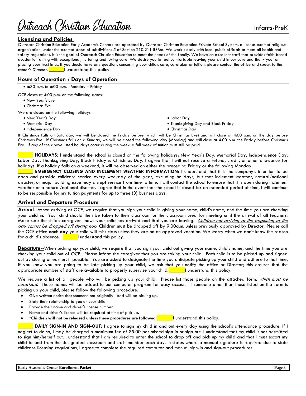Nitreach Christian Education

#### **Licensing and Policies**

Outreach Christian Education Early Academic Centers are operated by Outreach Christian Education Private School System, a license-exempt religious organization, under the exempt status of subdivisions 5 of Section 210.211 RSMo. We work closely with local public officials to meet all health and safety regulations. It is the goal of Outreach Christian Education to meet the needs of the family. We have an excellent staff that provides faith-based academic training with exceptional, nurturing and loving care. We desire you to feel comfortable leaving your child in our care and thank you for placing your trust in us. If you should have any questions concerning your child's care, caretaker or tuition, please contact the office and speak to the center's Director.  $\Box$  understand this policy.

#### **Hours of Operation / Days of Operation**

• 6:30 a.m. to 6:00 p.m. Monday – Friday

OCE closes at 4:00 p.m. on the following dates:

- New Year's Eve
- Christmas Eve

We are closed on the following holidays:

- New Year's Day
- Memorial Day
- Independence Day
- Labor Day
- Thanksgiving Day and Black Friday
- Christmas Day

If Christmas falls on Saturday, we will be closed the Friday before (which will be Christmas Eve) and will close at 4:00 p.m. on the day before Christmas Eve. If Christmas falls on a Sunday, we will be closed the following day (Monday) and will close at 4:00 p.m. the Friday before Christmas Eve. If any of the above listed holidays occur during the week, a full week of tuition must still be paid.

\_\_\_\_\_\_ **HOLIDAYS:** I understand the school is closed on the following holidays: New Year's Day, Memorial Day, Independence Day, Labor Day, Thanksgiving Day, Black Friday & Christmas Day. I agree that I will not receive a refund, credit, or other allowance for holidays. If a holiday falls on a weekend, it will be observed on either the preceding Friday or the following Monday.

**EMERGENCY CLOSING AND INCLEMENT WEATHER INFORMATION:** I understand that it is the company's intention to be open and provide childcare service every weekday of the year, excluding holidays, but that inclement weather, natural/national disaster, or major building issue may disrupt service from time to time. I will contact the school to ensure that it is open during inclement weather or a natural/national disaster. I agree that in the event that the school is closed for an extended period of time, I will continue to be responsible for my tuition payments for up to three (3) business days.

#### **Arrival and Departure Procedure**

**Arrival**--When arriving at OCE, we require that you sign your child in giving your name, child's name, and the time you are checking your child in. Your child should then be taken to their classroom or the classroom used for meeting until the arrival of all teachers. Make sure the child's caregiver knows your child has arrived and that you are leaving. Children not arriving at the beginning of the day cannot be dropped off during nap. Children must be dropped off by 9:00a.m. unless previously approved by Director. Please call the OCE office **each day** your child will miss class unless they are on an approved vacation. We worry when we don't know the reason for a child's absence.  $\boxed{\phantom{a} \phantom{a}}$  understand this policy.

**Departure**--When picking up your child, we require that you sign your child out giving your name, child's name, and the time you are checking your child out of OCE. Please inform the caregiver that you are taking your child. Each child is to be picked up and signed out by closing or earlier, if possible. You are asked to designate the time you anticipate picking up your child and adhere to that time. If you know you are going to be late picking up your child, we ask that you notify the office or Director; this ensures that the appropriate number of staff are available to properly supervise your child. **\_\_\_\_\_\_**I understand this policy.

We require a list of all people who will be picking up your child. Please list those people on the attached form, which must be notarized. These names will be added to our computer program for easy access. If someone other than those listed on the form is picking up your child, please follow the following procedure:

- Give **written** notice that someone not originally listed will be picking up.
- State their relationship to you or your child.
- Provide their name and driver's license number.
- Name and driver's license will be required at time of pick up.
- **\*Children will not be released unless these procedures are followed!** \_\_\_\_\_\_I understand this policy.

\_\_\_\_\_\_ **DAILY SIGN-IN AND SIGN-OUT:** I agree to sign my child in and out every day using the school's attendance procedure. If I neglect to do so, I may be charged a maximum fee of \$5.00 per missed sign-in or sign-out. I understand that my child is not permitted to sign him/herself out. I understand that I am required to enter the school to drop off and pick up my child and that I must escort my child to and from the designated classroom and staff member each day. In states where a manual signature is required due to state childcare licensing regulations, I agree to complete the required computer and manual sign-in and sign-out procedures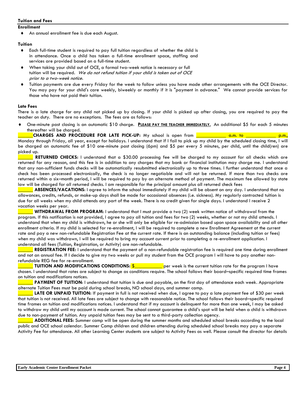#### **Tuition and Fees**

#### **Enrollment**

An annual enrollment fee is due each August.

#### **Tuition**

- Each full-time student is required to pay full tuition regardless of whether the child is in attendance. Once a child has taken a full-time enrollment space, staffing and services are provided based on a full-time student.
- When taking your child out of OCE, a formal two-week notice is necessary or full tuition will be required. We do not refund tuition if your child is taken out of OCE prior to a two-week notice.
- Tuition payments are due every Friday for the week to follow unless you have made other arrangements with the OCE Director. You may pay for your child's care weekly, biweekly or monthly if it is "payment in advance." We cannot provide services for those who have not paid their tuition.

#### **Late Fees**

There is a late charge for any child not picked up by closing. If your child is picked up after closing, you are required to pay the teacher on duty. There are no exceptions. The fees are as follows:

 One-minute past closing is an automatic \$10 charge. **PLEASE PAY THE TEACHER IMMEDIATELY.** An additional \$5 for each 5 minutes thereafter will be charged.

\_\_\_\_\_\_**CHARGES AND PROCEDURE FOR LATE PICK-UP:** My school is open from \_\_\_\_\_\_\_\_\_\_\_\_ a.m. to \_\_\_\_\_\_\_\_\_\_\_\_ p.m., Monday through Friday, all year, except for holidays. I understand that if I fail to pick up my child by the scheduled closing time, I will be charged an automatic fee of \$10 one-minute past closing (6pm) and \$5 per every 5 minutes, per child, until the child(ren) are picked up.

RETURNED CHECKS: I understand that a \$30.00 processing fee will be charged to my account for all checks which are returned for any reason, and this fee is in addition to any charges that my bank or financial institution may charge me. I understand that any non-sufficient funds checks will be automatically resubmitted electronically up to three times. I further understand that once a check has been processed electronically, the check is no longer negotiable and will not be returned. If more than two checks are returned within a six–month period, I will be required to pay by an alternate method of payment. The maximum fee allowed by state law will be charged for all returned checks. I am responsible for the principal amount plus all returned check fees

ABSENCES/VACATIONS: I agree to inform the school immediately if my child will be absent on any day. I understand that no allowances, credits, refunds, or make-up days shall be made for occasional absences (i.e. sickness). My regularly contracted tuition is due for all weeks when my child attends any part of the week. There is no credit given for single days. I understand I receive 2 vacation weeks per year.

WITHDRAWAL FROM PROGRAM: I understand that I must provide a two (2) week written notice of withdrawal from the program. If this notification is not provided, I agree to pay all tuition and fees for two (2) weeks, whether or not my child attends. I understand that when my child is withdrawn, he or she will only be eligible for re-admission based upon space availability and all other enrollment criteria. If my child is selected for re-enrollment, I will be required to complete a new Enrollment Agreement at the current rate and pay a new non-refundable Registration Fee at the current rate. If there is an outstanding balance (including tuition or fees) when my child was withdrawn, I will be required to bring my account current prior to completing a re-enrollment application. I understand all fees (Tuition, Registration, or Activity) are non-refundable.

\_\_\_\_\_\_ **REGISTRATION FEE:** I understand that the payment of a non-refundable registration fee is required one time during enrollment and not an annual fee. If I decide to give my two weeks or pull my student from the OCE program I will have to pay another nonrefundable REG fee for re-enrollment.

**TUITION AND MODIFICATIONS CONDITIONS:** \$\_\_\_\_\_\_\_\_\_\_\_ per week is the current tuition rate for the program I have chosen. I understand that rates are subject to change as conditions require. The school follows their board–specific required time frames on tuition and modifications notices.

**PAYMENT OF TUITION:** I understand that tuition is due and payable, on the first day of attendance each week. Appropriate alternate Tuition Fees must be paid during school breaks, NO school days, and summer camp.

LATE OR UNPAID TUITION: If payment in full is not received when due, I agree to pay a late payment fee of \$30 per week that tuition is not received. All late fees are subject to change with reasonable notice. The school follows their board–specific required time frames on tuition and modifications notices. I understand that if my account is delinquent for more than one week, I may be asked to withdraw my child until my account is made current. The school cannot guarantee a child's spot will be held when a child is withdrawn due to non-payment of tuition. Any unpaid tuition fees may be sent to a third-party collection agency.

\_\_\_\_\_\_ **ADDITIONAL FEES:** Summer camp will be open during the summer months and scheduled school breaks according to the local public and OCE school calendar. Summer Camp children and children attending during scheduled school breaks may pay a separate Activity Fee for attendance. All other Learning Center students are subject to Activity Fees as well. Please consult the director for details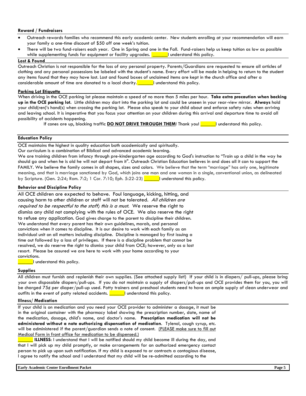#### **Reward / Fundraisers**

- Outreach rewards families who recommend this early academic center. New students enrolling at your recommendation will earn your family a one-time discount of \$50 off one week's tuition.
- There will be two fund-raisers each year. One in Spring and one in the Fall. Fund-raisers help us keep tuition as low as possible while supplementing funds for equipment or facility upgrades. **\_\_\_\_\_\_**I understand this policy.

#### Lost & Found

Outreach Christian is not responsible for the loss of any personal property. Parents/Guardians are requested to ensure all articles of clothing and any personal possessions be labeled with the student's name. Every effort will be made in helping to return to the student any items found that they may have lost. Lost and found boxes of unclaimed items are kept in the church office and after a considerable amount of time are donated to a local charity. \_\_\_\_\_\_I understand this policy.

#### **Parking Lot Etiquette**

When driving in the OCE parking lot please maintain a speed of no more than 5 miles per hour. **Take extra precaution when backing up in the OCE parking lot.** Little children may dart into the parking lot and could be unseen in your rear-view mirror. **Always** hold your child(ren)'s hand(s) when crossing the parking lot. Please also speak to your child about and enforce safety rules when arriving and leaving school. It is imperative that you focus your attention on your children during this arrival and departure time to avoid all possibility of accidents happening.

If cones are up, blocking traffic **DO NOT DRIVE THROUGH THEM**! Thank you! <u>\_\_\_\_</u>I understand this policy.

#### **Education Policy**

OCE maintains the highest in quality education both academically and spiritually.

Our curriculum is a combination of Biblical and advanced academic learning.

We are training children from infancy through pre-kindergarten age according to God's instruction to "Train up a child in the way he should go and when he is old he will not depart from it". Outreach Christian Education believes in and does all it can to support the FAMILY. We believe the family comes in all shapes, sizes and colors. We believe that the term "marriage" has only one, legitimate meaning, and that is marriage sanctioned by God, which joins one man and one woman in a single, conventional union, as delineated by Scripture. (Gen. 2:24; Rom. 7:2; 1 Cor. 7:10; Eph. 5:22-23) **\_\_\_\_\_\_**I understand this policy.

#### **Behavior and Discipline Policy**

All OCE children are expected to behave. Foul language, kicking, hitting, and causing harm to other children or staff will not be tolerated. All children are required to be respectful to the staff; this is a must. We reserve the right to dismiss any child not complying with the rules of OCE. We also reserve the right to refuse any application. God gives charge to the parent to discipline their children. We understand that every parent has their own guidelines, morals, and personal convictions when it comes to discipline. It is our desire to work with each family as an individual unit on all matters including discipline. Discipline is managed by first issuing a time out followed by a loss of privileges. If there is a discipline problem that cannot be resolved, we do reserve the right to dismiss your child from OCE; however, only as a last resort. Please be assured we are here to work with your home according to your convictions.

 $\_$ I understand this policy.

#### **Supplies**

All children must furnish and replenish their own supplies. (See attached supply list!) If your child is in diapers/ pull-ups, please bring your own disposable diapers/pull-ups. If you do not maintain a supply of diapers/pull-ups and OCE provides them for you, you will be charged 75¢ per diaper/pull-up used. Potty trainers and preschool students need to have an ample supply of clean underwear and outfits in the event of potty related accidents. **Dependent of the luminosity** understand this policy.

#### **Illness/ Medication**

If your child is on medication and you need your OCE provider to administer a dosage, it must be in the original container with the pharmacy label showing the prescription number, date, name of the medication, dosage, child's name, and doctor's name. **Prescription medication will not be administered without a note authorizing dispensation of medication**. Tylenol, cough syrup, etc. will be administered if the parent/guardian sends a note of consent. (PLEASE make sure to fill out Medical Form in front office for medication to be dispensed.)

\_\_\_\_\_\_ **ILLNESS**: I understand that I will be notified should my child become ill during the day, and that I will pick up my child promptly, or make arrangements for an authorized emergency contact person to pick up upon such notification. If my child is exposed to or contracts a contagious disease, I agree to notify the school and I understand that my child will be re-admitted according to the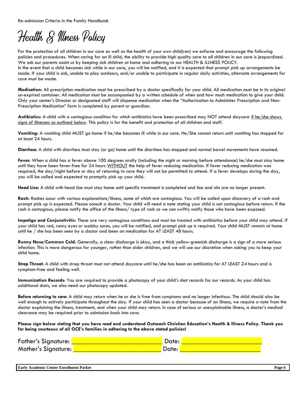Re-admission Criteria in the Family Handbook

## Health & Illness Policy

For the protection of all children in our care as well as the health of your own child(ren) we enforce and encourage the following policies and procedures. When caring for an ill child, the ability to provide high quality care to all children in our care is jeopardized. We ask our parents assist us by keeping sick children at home and adhering to our HEALTH & ILLNESS POLICY. In the event that a child becomes sick while in our care, you will be notified, and it is expected that prompt pick up arrangements be made. If your child is sick, unable to play outdoors, and/or unable to participate in regular daily activities, alternate arrangements for care must be made.

**Medication:** All prescription medication must be prescribed by a doctor specifically for your child. All medication must be in its original un-expired container. All medication must be accompanied by a written schedule of when and how much medication to give your child. Only your center's Director or designated staff will dispense medication when the "Authorization to Administer Prescription and Non-Prescription Medication" form is completed by parent or guardian.

Antibiotics: A child with a contagious condition for which antibiotics have been prescribed may NOT attend daycare if he/she shows signs of illnesses as outlined below. This policy is for the benefit and protection of all children and staff.

**Vomiting:** A vomiting child MUST go home if he/she becomes ill while in our care. He/She cannot return until vomiting has stopped for at least 24 hours.

**Diarrhea:** A child with diarrhea must stay (or go) home until the diarrhea has stopped and normal bowel movements have resumed.

**Fever**: When a child has a fever above 100 degrees orally (including the night or morning before attendance) he/she must stay home until they have been fever-free for 24 hours WITHOUT the help of fever reducing medication. If fever reducing medication was required, the day/night before or day of returning to care they will not be permitted to attend. If a fever develops during the day, you will be called and expected to promptly pick up your child.

**Head Lice**: A child with head lice must stay home until specific treatment is completed and lice and nits are no longer present.

**Rash:** Rashes occur with various explanations/illness, some of which are contagious. You will be called upon discovery of a rash and prompt pick up is expected. Please consult a doctor. Your child will need a note stating your child is not contagious before return. If the rash is contagious, please notify the office of the illness/ type of rash so we can swiftly notify those who have been exposed.

**Impetigo and Conjunctivitis:** These are very contagious conditions and must be treated with antibiotics before your child may attend. If your child has red, runny eyes or scabby sores, you will be notified, and prompt pick up is required. Your child MUST remain at home until he / she has been seen by a doctor and been on medication for AT LEAST 48 hours.

**Runny Nose/Common Cold**: Generally, a clear discharge is okay, and a thick yellow-greenish discharge is a sign of a more serious infection. This is more dangerous for younger, rather than older children, and we will use our discretion when asking you to keep your child home.

**Strep Throat**: A child with strep throat must not attend daycare until he/she has been on antibiotics for AT LEAST 24 hours and is symptom-free and feeling well.

**Immunization Records**: You are required to provide a photocopy of your child's shot records for our records. As your child has additional shots, we also need our photocopy updated.

**Before returning to care**: A child may return when he or she is free from symptoms and no longer infectious. The child should also be well enough to actively participate throughout the day. If your child has seen a doctor because of an illness, we require a note from the doctor explaining the illness, treatment, and when your child may return. In case of serious or unexplainable illness, a doctor's medical clearance may be required prior to admission back into care.

**Please sign below stating that you have read and understand Outreach Christian Education's Health & Illness Policy. Thank you for being courteous of all OCE's families in adhering to the above stated policies!** 

| Father's Signature: [ | Date: |  |
|-----------------------|-------|--|
| Mother's Signature:   | Date: |  |

**Early Academic Center Enrollment Packet Page 6**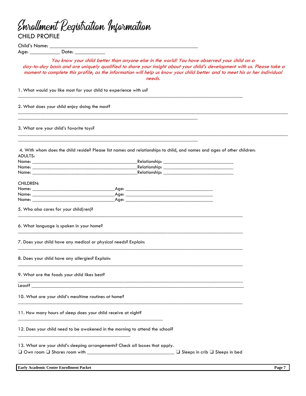| <b>CHILD PROFILE</b>                                                                                                                                                                                                           | Enrollment Registration Information                                                                                                                                                                                                                                                                                                                           |
|--------------------------------------------------------------------------------------------------------------------------------------------------------------------------------------------------------------------------------|---------------------------------------------------------------------------------------------------------------------------------------------------------------------------------------------------------------------------------------------------------------------------------------------------------------------------------------------------------------|
|                                                                                                                                                                                                                                |                                                                                                                                                                                                                                                                                                                                                               |
|                                                                                                                                                                                                                                |                                                                                                                                                                                                                                                                                                                                                               |
|                                                                                                                                                                                                                                | You know your child better than anyone else in the world! You have observed your child on a<br>day-to-day basis and are uniquely qualified to share your insight about your child's development with us. Please take a<br>moment to complete this profile, as the information will help us know your child better and to meet his or her individual<br>needs. |
|                                                                                                                                                                                                                                | 1. What would you like most for your child to experience with us?                                                                                                                                                                                                                                                                                             |
| 2. What does your child enjoy doing the most?                                                                                                                                                                                  |                                                                                                                                                                                                                                                                                                                                                               |
| 3. What are your child's favorite toys?                                                                                                                                                                                        |                                                                                                                                                                                                                                                                                                                                                               |
| ADULTS:                                                                                                                                                                                                                        | 4. With whom does the child reside? Please list names and relationships to child, and names and ages of other children:                                                                                                                                                                                                                                       |
| Name: with a state of the state of the state of the state of the state of the state of the state of the state of the state of the state of the state of the state of the state of the state of the state of the state of the s |                                                                                                                                                                                                                                                                                                                                                               |
|                                                                                                                                                                                                                                |                                                                                                                                                                                                                                                                                                                                                               |
| <b>CHILDREN:</b>                                                                                                                                                                                                               |                                                                                                                                                                                                                                                                                                                                                               |
|                                                                                                                                                                                                                                |                                                                                                                                                                                                                                                                                                                                                               |
|                                                                                                                                                                                                                                |                                                                                                                                                                                                                                                                                                                                                               |
|                                                                                                                                                                                                                                |                                                                                                                                                                                                                                                                                                                                                               |
| 5. Who also cares for your child(ren)?                                                                                                                                                                                         |                                                                                                                                                                                                                                                                                                                                                               |
| 6. What language is spoken in your home?                                                                                                                                                                                       |                                                                                                                                                                                                                                                                                                                                                               |
|                                                                                                                                                                                                                                | 7. Does your child have any medical or physical needs? Explain:                                                                                                                                                                                                                                                                                               |
| 8. Does your child have any allergies? Explain:                                                                                                                                                                                |                                                                                                                                                                                                                                                                                                                                                               |
| 9. What are the foods your child likes best?                                                                                                                                                                                   |                                                                                                                                                                                                                                                                                                                                                               |
|                                                                                                                                                                                                                                |                                                                                                                                                                                                                                                                                                                                                               |
| 10. What are your child's mealtime routines at home?                                                                                                                                                                           |                                                                                                                                                                                                                                                                                                                                                               |
|                                                                                                                                                                                                                                | 11. How many hours of sleep does your child receive at night?                                                                                                                                                                                                                                                                                                 |
|                                                                                                                                                                                                                                | 12. Does your child need to be awakened in the morning to attend the school?                                                                                                                                                                                                                                                                                  |
|                                                                                                                                                                                                                                | 13. What are your child's sleeping arrangements? Check all boxes that apply.                                                                                                                                                                                                                                                                                  |

| <b>Early Ac</b><br>$\sim$<br>∕ Academic Center Enrollment Packet ≀ | Page |
|--------------------------------------------------------------------|------|
|--------------------------------------------------------------------|------|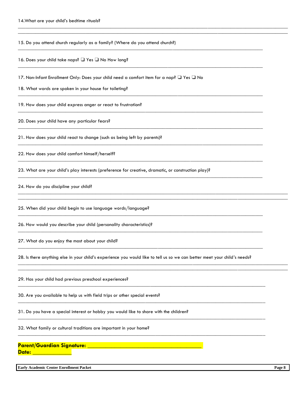15. Do you attend church regularly as a family? (Where do you attend church?)  $\_$  ,  $\_$  ,  $\_$  ,  $\_$  ,  $\_$  ,  $\_$  ,  $\_$  ,  $\_$  ,  $\_$  ,  $\_$  ,  $\_$  ,  $\_$  ,  $\_$  ,  $\_$  ,  $\_$  ,  $\_$  ,  $\_$  ,  $\_$  ,  $\_$  ,  $\_$  ,  $\_$  ,  $\_$  ,  $\_$  ,  $\_$  ,  $\_$  ,  $\_$  ,  $\_$  ,  $\_$  ,  $\_$  ,  $\_$  ,  $\_$  ,  $\_$  ,  $\_$  ,  $\_$  ,  $\_$  ,  $\_$  ,  $\_$  ,

16. Does your child take naps? ❏ Yes ❏ No How long?

17. Non-Infant Enrollment Only: Does your child need a comfort item for a nap? ❏ Yes ❏ No

\_\_\_\_\_\_\_\_\_\_\_\_\_\_\_\_\_\_\_\_\_\_\_\_\_\_\_\_\_\_\_\_\_\_\_\_\_\_\_\_\_\_\_\_\_\_\_\_\_\_\_\_\_\_\_\_\_\_\_\_\_\_\_\_\_\_\_\_\_\_\_\_\_\_\_\_\_\_\_\_\_\_\_\_\_\_\_\_\_\_\_\_\_\_\_\_\_\_\_\_\_\_\_\_\_\_\_\_  $\_$  ,  $\_$  ,  $\_$  ,  $\_$  ,  $\_$  ,  $\_$  ,  $\_$  ,  $\_$  ,  $\_$  ,  $\_$  ,  $\_$  ,  $\_$  ,  $\_$  ,  $\_$  ,  $\_$  ,  $\_$  ,  $\_$  ,  $\_$  ,  $\_$  ,  $\_$  ,  $\_$  ,  $\_$  ,  $\_$  ,  $\_$  ,  $\_$  ,  $\_$  ,  $\_$  ,  $\_$  ,  $\_$  ,  $\_$  ,  $\_$  ,  $\_$  ,  $\_$  ,  $\_$  ,  $\_$  ,  $\_$  ,  $\_$  ,

\_\_\_\_\_\_\_\_\_\_\_\_\_\_\_\_\_\_\_\_\_\_\_\_\_\_\_\_\_\_\_\_\_\_\_\_\_\_\_\_\_\_\_\_\_\_\_\_\_\_\_\_\_\_\_\_\_\_\_\_\_\_\_\_\_\_\_\_\_\_\_\_\_\_\_\_\_\_\_\_\_\_\_\_\_\_\_\_\_\_\_\_\_\_\_\_\_\_

 $\_$  ,  $\_$  ,  $\_$  ,  $\_$  ,  $\_$  ,  $\_$  ,  $\_$  ,  $\_$  ,  $\_$  ,  $\_$  ,  $\_$  ,  $\_$  ,  $\_$  ,  $\_$  ,  $\_$  ,  $\_$  ,  $\_$  ,  $\_$  ,  $\_$  ,  $\_$  ,  $\_$  ,  $\_$  ,  $\_$  ,  $\_$  ,  $\_$  ,  $\_$  ,  $\_$  ,  $\_$  ,  $\_$  ,  $\_$  ,  $\_$  ,  $\_$  ,  $\_$  ,  $\_$  ,  $\_$  ,  $\_$  ,  $\_$  ,

\_\_\_\_\_\_\_\_\_\_\_\_\_\_\_\_\_\_\_\_\_\_\_\_\_\_\_\_\_\_\_\_\_\_\_\_\_\_\_\_\_\_\_\_\_\_\_\_\_\_\_\_\_\_\_\_\_\_\_\_\_\_\_\_\_\_\_\_\_\_\_\_\_\_\_\_\_\_\_\_\_\_\_\_\_\_\_\_\_\_\_\_\_\_\_\_\_\_

 $\_$  ,  $\_$  ,  $\_$  ,  $\_$  ,  $\_$  ,  $\_$  ,  $\_$  ,  $\_$  ,  $\_$  ,  $\_$  ,  $\_$  ,  $\_$  ,  $\_$  ,  $\_$  ,  $\_$  ,  $\_$  ,  $\_$  ,  $\_$  ,  $\_$  ,  $\_$  ,  $\_$  ,  $\_$  ,  $\_$  ,  $\_$  ,  $\_$  ,  $\_$  ,  $\_$  ,  $\_$  ,  $\_$  ,  $\_$  ,  $\_$  ,  $\_$  ,  $\_$  ,  $\_$  ,  $\_$  ,  $\_$  ,  $\_$  ,

\_\_\_\_\_\_\_\_\_\_\_\_\_\_\_\_\_\_\_\_\_\_\_\_\_\_\_\_\_\_\_\_\_\_\_\_\_\_\_\_\_\_\_\_\_\_\_\_\_\_\_\_\_\_\_\_\_\_\_\_\_\_\_\_\_\_\_\_\_\_\_\_\_\_\_\_\_\_\_\_\_\_\_\_\_\_\_\_\_\_\_\_\_\_\_\_\_\_

\_\_\_\_\_\_\_\_\_\_\_\_\_\_\_\_\_\_\_\_\_\_\_\_\_\_\_\_\_\_\_\_\_\_\_\_\_\_\_\_\_\_\_\_\_\_\_\_\_\_\_\_\_\_\_\_\_\_\_\_\_\_\_\_\_\_\_\_\_\_\_\_\_\_\_\_\_\_\_\_\_\_\_\_\_\_\_\_\_\_\_\_\_\_\_\_\_\_

 $\_$  ,  $\_$  ,  $\_$  ,  $\_$  ,  $\_$  ,  $\_$  ,  $\_$  ,  $\_$  ,  $\_$  ,  $\_$  ,  $\_$  ,  $\_$  ,  $\_$  ,  $\_$  ,  $\_$  ,  $\_$  ,  $\_$  ,  $\_$  ,  $\_$  ,  $\_$  ,  $\_$  ,  $\_$  ,  $\_$  ,  $\_$  ,  $\_$  ,  $\_$  ,  $\_$  ,  $\_$  ,  $\_$  ,  $\_$  ,  $\_$  ,  $\_$  ,  $\_$  ,  $\_$  ,  $\_$  ,  $\_$  ,  $\_$  ,

 $\_$  ,  $\_$  ,  $\_$  ,  $\_$  ,  $\_$  ,  $\_$  ,  $\_$  ,  $\_$  ,  $\_$  ,  $\_$  ,  $\_$  ,  $\_$  ,  $\_$  ,  $\_$  ,  $\_$  ,  $\_$  ,  $\_$  ,  $\_$  ,  $\_$  ,  $\_$  ,  $\_$  ,  $\_$  ,  $\_$  ,  $\_$  ,  $\_$  ,  $\_$  ,  $\_$  ,  $\_$  ,  $\_$  ,  $\_$  ,  $\_$  ,  $\_$  ,  $\_$  ,  $\_$  ,  $\_$  ,  $\_$  ,  $\_$  ,

 $\mathcal{L}_\mathcal{L} = \{ \mathcal{L}_\mathcal{L} = \{ \mathcal{L}_\mathcal{L} = \{ \mathcal{L}_\mathcal{L} = \{ \mathcal{L}_\mathcal{L} = \{ \mathcal{L}_\mathcal{L} = \{ \mathcal{L}_\mathcal{L} = \{ \mathcal{L}_\mathcal{L} = \{ \mathcal{L}_\mathcal{L} = \{ \mathcal{L}_\mathcal{L} = \{ \mathcal{L}_\mathcal{L} = \{ \mathcal{L}_\mathcal{L} = \{ \mathcal{L}_\mathcal{L} = \{ \mathcal{L}_\mathcal{L} = \{ \mathcal{L}_\mathcal{$ 

\_\_\_\_\_\_\_\_\_\_\_\_\_\_\_\_\_\_\_\_\_\_\_\_\_\_\_\_\_\_\_\_\_\_\_\_\_\_\_\_\_\_\_\_\_\_\_\_\_\_\_\_\_\_\_\_\_\_\_\_\_\_\_\_\_\_\_\_\_\_\_\_\_\_\_\_\_\_\_\_\_\_\_\_\_\_\_\_\_\_\_\_\_\_\_\_\_\_\_

\_\_\_\_\_\_\_\_\_\_\_\_\_\_\_\_\_\_\_\_\_\_\_\_\_\_\_\_\_\_\_\_\_\_\_\_\_\_\_\_\_\_\_\_\_\_\_\_\_\_\_\_\_\_\_\_\_\_\_\_\_\_\_\_\_\_\_\_\_\_\_\_\_\_\_\_\_\_\_\_\_\_\_\_\_\_\_\_\_\_\_\_\_\_\_\_\_\_\_

 $\_$  ,  $\_$  ,  $\_$  ,  $\_$  ,  $\_$  ,  $\_$  ,  $\_$  ,  $\_$  ,  $\_$  ,  $\_$  ,  $\_$  ,  $\_$  ,  $\_$  ,  $\_$  ,  $\_$  ,  $\_$  ,  $\_$  ,  $\_$  ,  $\_$  ,  $\_$  ,  $\_$  ,  $\_$  ,  $\_$  ,  $\_$  ,  $\_$  ,  $\_$  ,  $\_$  ,  $\_$  ,  $\_$  ,  $\_$  ,  $\_$  ,  $\_$  ,  $\_$  ,  $\_$  ,  $\_$  ,  $\_$  ,  $\_$  ,

 $\_$  ,  $\_$  ,  $\_$  ,  $\_$  ,  $\_$  ,  $\_$  ,  $\_$  ,  $\_$  ,  $\_$  ,  $\_$  ,  $\_$  ,  $\_$  ,  $\_$  ,  $\_$  ,  $\_$  ,  $\_$  ,  $\_$  ,  $\_$  ,  $\_$  ,  $\_$  ,  $\_$  ,  $\_$  ,  $\_$  ,  $\_$  ,  $\_$  ,  $\_$  ,  $\_$  ,  $\_$  ,  $\_$  ,  $\_$  ,  $\_$  ,  $\_$  ,  $\_$  ,  $\_$  ,  $\_$  ,  $\_$  ,  $\_$  ,

 $\_$  ,  $\_$  ,  $\_$  ,  $\_$  ,  $\_$  ,  $\_$  ,  $\_$  ,  $\_$  ,  $\_$  ,  $\_$  ,  $\_$  ,  $\_$  ,  $\_$  ,  $\_$  ,  $\_$  ,  $\_$  ,  $\_$  ,  $\_$  ,  $\_$  ,  $\_$  ,  $\_$  ,  $\_$  ,  $\_$  ,  $\_$  ,  $\_$  ,  $\_$  ,  $\_$  ,  $\_$  ,  $\_$  ,  $\_$  ,  $\_$  ,  $\_$  ,  $\_$  ,  $\_$  ,  $\_$  ,  $\_$  ,  $\_$  , \_\_\_\_\_\_\_\_\_\_\_\_\_\_\_\_\_\_\_\_\_\_\_\_\_\_\_\_\_\_\_\_\_\_\_\_\_\_\_\_\_\_\_\_\_\_\_\_\_\_\_\_\_\_\_\_\_\_\_\_\_\_\_\_\_\_\_\_\_\_\_\_\_\_\_\_\_\_\_\_\_\_\_\_\_\_\_\_\_\_\_\_\_\_\_\_\_\_\_\_\_\_\_\_\_\_\_\_

 $\_$  ,  $\_$  ,  $\_$  ,  $\_$  ,  $\_$  ,  $\_$  ,  $\_$  ,  $\_$  ,  $\_$  ,  $\_$  ,  $\_$  ,  $\_$  ,  $\_$  ,  $\_$  ,  $\_$  ,  $\_$  ,  $\_$  ,  $\_$  ,  $\_$  ,  $\_$  ,  $\_$  ,  $\_$  ,  $\_$  ,  $\_$  ,  $\_$  ,  $\_$  ,  $\_$  ,  $\_$  ,  $\_$  ,  $\_$  ,  $\_$  ,  $\_$  ,  $\_$  ,  $\_$  ,  $\_$  ,  $\_$  ,  $\_$  , \_\_\_\_\_\_\_\_\_\_\_\_\_\_\_\_\_\_\_\_\_\_\_\_\_\_\_\_\_\_\_\_\_\_\_\_\_\_\_\_\_\_\_\_\_\_\_\_\_\_\_\_\_\_\_\_\_\_\_\_\_\_\_\_\_\_\_\_\_\_\_\_\_\_\_\_\_\_\_\_\_\_\_\_\_\_\_\_\_\_\_\_\_\_\_\_\_\_\_\_\_\_\_\_\_\_\_\_

18. What words are spoken in your house for toileting?

19. How does your child express anger or react to frustration? \_\_\_\_\_\_\_\_\_\_\_\_\_\_\_\_\_\_\_\_\_\_\_\_\_\_\_\_\_\_\_\_\_\_\_\_\_\_\_\_\_\_\_\_\_\_\_\_\_\_\_\_\_\_\_\_\_\_\_\_\_\_\_\_\_\_\_\_\_\_\_\_\_\_\_\_\_\_\_\_\_\_\_\_\_\_\_\_\_\_\_\_\_\_\_\_\_\_

20. Does your child have any particular fears?

21. How does your child react to change (such as being left by parents)?

22. How does your child comfort himself/herself?

23. What are your child's play interests (preference for creative, dramatic, or construction play)?

24. How do you discipline your child?

25. When did your child begin to use language words/language?

26. How would you describe your child (personality characteristics)?

27. What do you enjoy the most about your child?

28. Is there anything else in your child's experience you would like to tell us so we can better meet your child's needs?

29. Has your child had previous preschool experiences?

30. Are you available to help us with field trips or other special events?

31. Do you have a special interest or hobby you would like to share with the children?

32. What family or cultural traditions are important in your home?

#### **Parent/Guardian Signature: \_\_\_\_\_\_\_\_\_\_\_\_\_\_\_\_\_\_\_\_\_\_\_\_\_\_\_\_\_\_\_\_\_\_\_\_\_\_**  Date:

**Early Academic Center Enrollment Packet Page 8**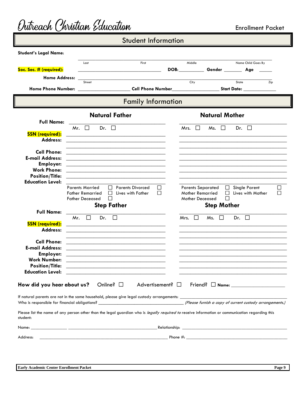|                                         | <b>Student Information</b>                                                                                                                                                                                                                     |                          |                                                                                                                                                                                                                                                            |
|-----------------------------------------|------------------------------------------------------------------------------------------------------------------------------------------------------------------------------------------------------------------------------------------------|--------------------------|------------------------------------------------------------------------------------------------------------------------------------------------------------------------------------------------------------------------------------------------------------|
| <b>Student's Legal Name:</b>            |                                                                                                                                                                                                                                                |                          |                                                                                                                                                                                                                                                            |
|                                         |                                                                                                                                                                                                                                                |                          |                                                                                                                                                                                                                                                            |
|                                         | First<br>Last                                                                                                                                                                                                                                  |                          | Middle<br>Name Child Goes By                                                                                                                                                                                                                               |
| Soc. Sec. # (required):                 |                                                                                                                                                                                                                                                |                          | DOB: the contract of the contract of the contract of the contract of the contract of the contract of the contract of the contract of the contract of the contract of the contract of the contract of the contract of the contr<br>Gender _______ Age _____ |
| <b>Home Address:</b>                    | <u> 1989 - Johann Barbara, margaret eta idazlea (h. 1989).</u><br>Street                                                                                                                                                                       |                          | City<br>State<br>Zip                                                                                                                                                                                                                                       |
|                                         |                                                                                                                                                                                                                                                |                          | Home Phone Number: __________________________Cell Phone Number_______________________Start Date: _____________                                                                                                                                             |
|                                         | <b>Family Information</b>                                                                                                                                                                                                                      |                          |                                                                                                                                                                                                                                                            |
|                                         | <b>Natural Father</b>                                                                                                                                                                                                                          |                          | <b>Natural Mother</b>                                                                                                                                                                                                                                      |
| <b>Full Name:</b>                       |                                                                                                                                                                                                                                                |                          |                                                                                                                                                                                                                                                            |
|                                         | $\Box$<br>Dr. $\Box$<br>Mr.                                                                                                                                                                                                                    |                          | $\Box$<br>Mrs.<br>$\Box$<br>$Ms. \quad \Box$<br>Dr.                                                                                                                                                                                                        |
| <b>SSN</b> (required):<br>Address:      |                                                                                                                                                                                                                                                |                          |                                                                                                                                                                                                                                                            |
|                                         |                                                                                                                                                                                                                                                |                          |                                                                                                                                                                                                                                                            |
| <b>Cell Phone:</b>                      | <u> 1989 - Johann Stein, marwolaethau a bhann an t-Amhair ann an t-Amhair an t-Amhair an t-Amhair an t-Amhair an</u>                                                                                                                           |                          |                                                                                                                                                                                                                                                            |
| <b>E-mail Address:</b>                  | <u> 1980 - Jan James James James James James James James James James James James James James James James James J</u>                                                                                                                           |                          |                                                                                                                                                                                                                                                            |
| <b>Employer:</b><br><b>Work Phone:</b>  | <u> 1980 - Johann Barbara, margaret amerikan basar dan berasal di basa dan basar dalam basa dan basa dan basa dan</u>                                                                                                                          |                          |                                                                                                                                                                                                                                                            |
| <b>Position/Title:</b>                  |                                                                                                                                                                                                                                                |                          |                                                                                                                                                                                                                                                            |
| <b>Education Level:</b>                 |                                                                                                                                                                                                                                                |                          |                                                                                                                                                                                                                                                            |
|                                         | <b>Parents Married</b><br><b>Parents Divorced</b><br>$\perp$                                                                                                                                                                                   | $\Box$                   | <b>Parents Separated</b><br>$\Box$<br><b>Single Parent</b>                                                                                                                                                                                                 |
|                                         | <b>Father Remarried</b><br>$\Box$ Lives with Father                                                                                                                                                                                            | П                        | <b>Mother Remarried</b><br>Lives with Mother<br>$\perp$                                                                                                                                                                                                    |
|                                         | П<br><b>Father Deceased</b>                                                                                                                                                                                                                    |                          | П<br><b>Mother Deceased</b>                                                                                                                                                                                                                                |
| <b>Full Name:</b>                       | <b>Step Father</b>                                                                                                                                                                                                                             |                          | <b>Step Mother</b>                                                                                                                                                                                                                                         |
|                                         | $\Box$<br>Mr.<br>Dr.<br>$\perp$                                                                                                                                                                                                                |                          | Mrs. $\Box$<br>$M_s$ , $\Box$<br>Dr. $\Box$                                                                                                                                                                                                                |
| <b>SSN</b> (required):                  |                                                                                                                                                                                                                                                |                          |                                                                                                                                                                                                                                                            |
| <b>Address:</b>                         |                                                                                                                                                                                                                                                |                          |                                                                                                                                                                                                                                                            |
|                                         |                                                                                                                                                                                                                                                |                          |                                                                                                                                                                                                                                                            |
| <b>Cell Phone:</b>                      |                                                                                                                                                                                                                                                |                          |                                                                                                                                                                                                                                                            |
| <b>E-mail Address:</b>                  | <u> 2000 - Jan James James Jan James James James James James James James James James James James James James Jam</u>                                                                                                                           |                          | <u> La construcción de la construcción de la construcción de la construcción de la construcción de la construcció</u>                                                                                                                                      |
| <b>Employer:</b><br><b>Work Number:</b> | <u> 2000 - Jan James James Jan James James James James James James James James James James James James James Jam</u><br><u> 1989 - Johann John Stein, market fan it ferskearre fan it ferskearre fan it ferskearre fan it ferskearre fan i</u> |                          | <u> 1989 - Johann Harry Harry Harry Harry Harry Harry Harry Harry Harry Harry Harry Harry Harry Harry Harry Harry</u>                                                                                                                                      |
| <b>Position/Title:</b>                  | <u> 1989 - Johann John Stein, markin fan it ferskearre fan it ferskearre fan it ferskearre fan it ferskearre fan i</u>                                                                                                                         |                          | <u> La construcción de la construcción de la construcción de la construcción de la construcción de la construcció</u><br><u> Listen de la contrada de la contrada de la contrada de la contrada de la contrada de la contrada de la contra</u>             |
| <b>Education Level:</b>                 |                                                                                                                                                                                                                                                |                          | <u> Louis Communication de la communication de la communication de la communication de la communication de la com</u>                                                                                                                                      |
| How did you hear about us?              | Online? $\square$                                                                                                                                                                                                                              | Advertisement? $\square$ |                                                                                                                                                                                                                                                            |
|                                         |                                                                                                                                                                                                                                                |                          |                                                                                                                                                                                                                                                            |
|                                         |                                                                                                                                                                                                                                                |                          |                                                                                                                                                                                                                                                            |
| student:                                |                                                                                                                                                                                                                                                |                          | Please list the name of any person other than the legal guardian who is legally required to receive information or communication regarding this                                                                                                            |
|                                         |                                                                                                                                                                                                                                                |                          |                                                                                                                                                                                                                                                            |
|                                         |                                                                                                                                                                                                                                                |                          |                                                                                                                                                                                                                                                            |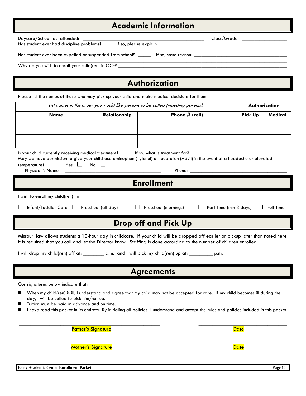Has student ever had discipline problems? \_\_

## **Academic Information**

 $\_$  ,  $\_$  ,  $\_$  ,  $\_$  ,  $\_$  ,  $\_$  ,  $\_$  ,  $\_$  ,  $\_$  ,  $\_$  ,  $\_$  ,  $\_$  ,  $\_$  ,  $\_$  ,  $\_$  ,  $\_$  ,  $\_$  ,  $\_$  ,  $\_$  ,  $\_$  ,  $\_$  ,  $\_$  ,  $\_$  ,  $\_$  ,  $\_$  ,  $\_$  ,  $\_$  ,  $\_$  ,  $\_$  ,  $\_$  ,  $\_$  ,  $\_$  ,  $\_$  ,  $\_$  ,  $\_$  ,  $\_$  ,  $\_$  ,

| Has student ever been expelled or suspended from school? ______ If so, state reason: __        |                                                                                  |                                                                                                                                                                                                                                                                                  |                                                   |
|------------------------------------------------------------------------------------------------|----------------------------------------------------------------------------------|----------------------------------------------------------------------------------------------------------------------------------------------------------------------------------------------------------------------------------------------------------------------------------|---------------------------------------------------|
|                                                                                                |                                                                                  |                                                                                                                                                                                                                                                                                  |                                                   |
|                                                                                                |                                                                                  | Authorization                                                                                                                                                                                                                                                                    |                                                   |
| Please list the names of those who may pick up your child and make medical decisions for them. |                                                                                  |                                                                                                                                                                                                                                                                                  |                                                   |
|                                                                                                | List names in the order you would like persons to be called (including parents). |                                                                                                                                                                                                                                                                                  | Authorization                                     |
| <b>Name</b>                                                                                    | Relationship                                                                     | Phone # (cell)                                                                                                                                                                                                                                                                   | <b>Pick Up</b><br>Medical                         |
|                                                                                                |                                                                                  |                                                                                                                                                                                                                                                                                  |                                                   |
|                                                                                                |                                                                                  |                                                                                                                                                                                                                                                                                  |                                                   |
| Is your child currently receiving medical treatment? _____ If so, what is treatment for? __    |                                                                                  |                                                                                                                                                                                                                                                                                  |                                                   |
| Yes $\Box$<br>temperature?                                                                     | $No$ $\Box$                                                                      | May we have permission to give your child acetaminophen (Tylenol) or Ibuprofen (Advil) in the event of a headache or elevated                                                                                                                                                    |                                                   |
| Physician's Name                                                                               |                                                                                  | Phone:                                                                                                                                                                                                                                                                           |                                                   |
|                                                                                                |                                                                                  | <b>Enrollment</b>                                                                                                                                                                                                                                                                |                                                   |
| I wish to enroll my child(ren) in:                                                             |                                                                                  |                                                                                                                                                                                                                                                                                  |                                                   |
| ப                                                                                              | Infant/Toddler Care $\Box$ Preschool (all day) $\Box$ Preschool (mornings)       |                                                                                                                                                                                                                                                                                  | $\Box$ Part Time (min 3 days)<br>$\Box$ Full Time |
|                                                                                                |                                                                                  | <b>Drop off and Pick Up</b>                                                                                                                                                                                                                                                      |                                                   |
|                                                                                                |                                                                                  | Missouri law allows students a 10-hour day in childcare. If your child will be dropped off earlier or pickup later than noted here<br>it is required that you call and let the Director know. Staffing is done according to the number of children enrolled.                     |                                                   |
|                                                                                                |                                                                                  | I will drop my child(ren) off at: _________ a.m. and I will pick my child(ren) up at: __________ p.m.                                                                                                                                                                            |                                                   |
|                                                                                                |                                                                                  | <b>Agreements</b>                                                                                                                                                                                                                                                                |                                                   |
| Our signatures below indicate that:                                                            |                                                                                  |                                                                                                                                                                                                                                                                                  |                                                   |
| day, I will be called to pick him/her up.<br>Tuition must be paid in advance and on time.      |                                                                                  | When my child(ren) is ill, I understand and agree that my child may not be accepted for care. If my child becomes ill during the<br>I have read this packet in its entirety. By initialing all policies- I understand and accept the rules and policies included in this packet. |                                                   |
|                                                                                                | <b>Father's Signature</b>                                                        |                                                                                                                                                                                                                                                                                  | <b>Date</b>                                       |
|                                                                                                | <b>Mother's Signature</b>                                                        |                                                                                                                                                                                                                                                                                  | <b>Date</b>                                       |
|                                                                                                |                                                                                  |                                                                                                                                                                                                                                                                                  |                                                   |

Daycare/School last attended: \_\_\_\_\_\_\_\_\_\_\_\_\_\_\_\_\_\_\_\_\_\_\_\_\_\_\_\_\_\_\_\_\_\_\_\_\_\_\_\_\_\_\_\_\_\_\_\_ Class/Grade: \_\_\_\_\_\_\_\_\_\_\_\_\_\_\_\_\_\_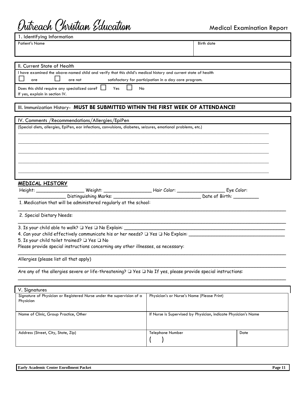## Outreach Christian Education

Medical Examination Repor<sup>t</sup>

| II. Current State of Health                                                                                                |                                                       |
|----------------------------------------------------------------------------------------------------------------------------|-------------------------------------------------------|
| I have examined the above-named child and verify that this child's medical history and current state of health             |                                                       |
| are not<br>are                                                                                                             | satisfactory for participation in a day care program. |
| Does this child require any specialized care? $\Box$ Yes<br>No                                                             |                                                       |
| If yes, explain in section IV.                                                                                             |                                                       |
|                                                                                                                            |                                                       |
| III. Immunization History- MUST BE SUBMITTED WITHIN THE FIRST WEEK OF ATTENDANCE!                                          |                                                       |
|                                                                                                                            |                                                       |
| IV. Comments / Recommendations/Allergies/EpiPen                                                                            |                                                       |
|                                                                                                                            |                                                       |
| (Special diets, allergies, EpiPen, ear infections, convulsions, diabetes, seizures, emotional problems, etc.)              |                                                       |
|                                                                                                                            |                                                       |
|                                                                                                                            |                                                       |
|                                                                                                                            |                                                       |
|                                                                                                                            |                                                       |
|                                                                                                                            |                                                       |
|                                                                                                                            |                                                       |
|                                                                                                                            |                                                       |
|                                                                                                                            |                                                       |
| <b>MEDICAL HISTORY</b>                                                                                                     |                                                       |
|                                                                                                                            |                                                       |
|                                                                                                                            | Date of Birth: ________                               |
| 1. Medication that will be administered regularly at the school:                                                           |                                                       |
|                                                                                                                            |                                                       |
| 2. Special Dietary Needs:                                                                                                  |                                                       |
|                                                                                                                            |                                                       |
| 3. Is your child able to walk? Q Yes Q No Explain: _                                                                       |                                                       |
| 4. Can your child effectively communicate his or her needs? $\Box$ Yes $\Box$ No Explain: ________________________________ |                                                       |
| 5. Is your child toilet trained? Q Yes Q No                                                                                |                                                       |
| Please provide special instructions concerning any other illnesses, as necessary:                                          |                                                       |
|                                                                                                                            |                                                       |
| Allergies (please list all that apply)                                                                                     |                                                       |
|                                                                                                                            |                                                       |
|                                                                                                                            |                                                       |
| Are any of the allergies severe or life-threatening? $\Box$ Yes $\Box$ No If yes, please provide special instructions:     |                                                       |
|                                                                                                                            |                                                       |
|                                                                                                                            |                                                       |
| V. Signatures                                                                                                              |                                                       |
| Signature of Physician or Registered Nurse under the supervision of a<br>Physician                                         | Physician's or Nurse's Name (Please Print)            |
|                                                                                                                            |                                                       |
|                                                                                                                            |                                                       |

| Address (Street, City, State, Zip) | Telephone Number | Date |
|------------------------------------|------------------|------|
|                                    |                  |      |

Name of Clinic, Group Practice, Other International If Nurse is Supervised by Physician, indicate Physician's Name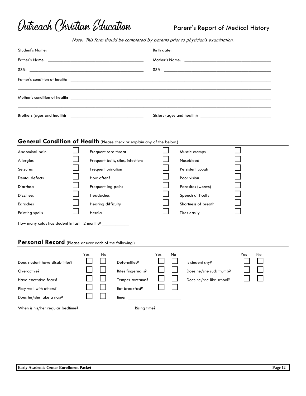

## Parent's Report of Medical History

Note: This form should be completed by parents prior to physician's examination.

|                                                                                                                              |                                                                                                                                                                                                                                | Birth date: the contract of the contract of the contract of the contract of the contract of the contract of the contract of the contract of the contract of the contract of the contract of the contract of the contract of th |  |
|------------------------------------------------------------------------------------------------------------------------------|--------------------------------------------------------------------------------------------------------------------------------------------------------------------------------------------------------------------------------|--------------------------------------------------------------------------------------------------------------------------------------------------------------------------------------------------------------------------------|--|
|                                                                                                                              | Father's Name: the contract of the contract of the contract of the contract of the contract of the contract of the contract of the contract of the contract of the contract of the contract of the contract of the contract of |                                                                                                                                                                                                                                |  |
| SS#:                                                                                                                         |                                                                                                                                                                                                                                |                                                                                                                                                                                                                                |  |
|                                                                                                                              |                                                                                                                                                                                                                                |                                                                                                                                                                                                                                |  |
|                                                                                                                              |                                                                                                                                                                                                                                |                                                                                                                                                                                                                                |  |
|                                                                                                                              |                                                                                                                                                                                                                                |                                                                                                                                                                                                                                |  |
|                                                                                                                              | <b>General Condition of Health</b> (Please check or explain any of the below.)                                                                                                                                                 |                                                                                                                                                                                                                                |  |
| Abdominal pain                                                                                                               | Frequent sore throat                                                                                                                                                                                                           | Muscle cramps                                                                                                                                                                                                                  |  |
| Allergies                                                                                                                    | Frequent boils, sties, infections                                                                                                                                                                                              | Nosebleed                                                                                                                                                                                                                      |  |
| Seizures                                                                                                                     | Frequent urination                                                                                                                                                                                                             | Persistent cough                                                                                                                                                                                                               |  |
| Dental defects                                                                                                               | How often?                                                                                                                                                                                                                     | Poor vision                                                                                                                                                                                                                    |  |
| Diarrhea                                                                                                                     | Frequent leg pains                                                                                                                                                                                                             | Parasites (worms)                                                                                                                                                                                                              |  |
| <b>Dizziness</b>                                                                                                             | Headaches                                                                                                                                                                                                                      | Speech difficulty                                                                                                                                                                                                              |  |
| Earaches                                                                                                                     | Hearing difficulty                                                                                                                                                                                                             | Shortness of breath                                                                                                                                                                                                            |  |
| <b>Fainting spells</b>                                                                                                       | Hernia                                                                                                                                                                                                                         | Tires easily                                                                                                                                                                                                                   |  |
| How many colds has student in last 12 months? _____________                                                                  |                                                                                                                                                                                                                                |                                                                                                                                                                                                                                |  |
|                                                                                                                              | Personal Record (Please answer each of the following.)                                                                                                                                                                         |                                                                                                                                                                                                                                |  |
| Does student have disabilities?<br>Overactive?<br>Have excessive fears?<br>Play well with others?<br>Does he/she take a nap? | Yes<br>No<br>Deformities?<br><b>Bites fingernails?</b><br>ى<br>Temper tantrums?<br>Eat breakfast?                                                                                                                              | Yes<br>No<br>No<br>Yes<br>Is student shy?<br>Does he/she suck thumb?<br>Does he/she like school?                                                                                                                               |  |
| When is his/her regular bedtime?                                                                                             |                                                                                                                                                                                                                                | Rising time?                                                                                                                                                                                                                   |  |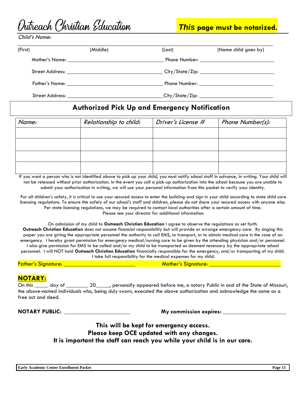|  |  | Outreach Christian Education |
|--|--|------------------------------|
|--|--|------------------------------|

*This* **page must be notarized.** 

Child's Name:

| (First) | (Middle)                                            | (Last)                                              | (Name child goes by)                               |
|---------|-----------------------------------------------------|-----------------------------------------------------|----------------------------------------------------|
|         |                                                     |                                                     |                                                    |
|         |                                                     | _ City/State/Zip: _________________________________ |                                                    |
|         |                                                     |                                                     |                                                    |
|         | Street Address: The Contract of the Street Address: |                                                     | _City/State/Zip: _________________________________ |

## **Authorized Pick Up and Emergency Notification**

| Name: | Relationship to child: | Driver's License # | Phone Number(s): |
|-------|------------------------|--------------------|------------------|
|       |                        |                    |                  |
|       |                        |                    |                  |
|       |                        |                    |                  |
|       |                        |                    |                  |

If you want a person who is not identified above to pick up your child, you must notify school staff in advance, in writing. Your child will not be released without prior authorization. In the event you call a pick-up authorization into the school because you are unable to submit your authorization in writing, we will use your personal information from this packet to verify your identity.

For all children's safety, it is critical to use your secured access to enter the building and sign in your child according to state child care licensing regulations. To ensure the safety of our school's staff and children, please do not share your secured access with anyone else. Per state licensing regulations, we may be required to contact local authorities after a certain amount of time. Please see your director for additional information.

On admission of my child to **Outreach Christian Education** I agree to observe the regulations as set forth.

**Outreach Christian Education** does not assume financial responsibility but will provide or arrange emergency care. By singing this paper you are giving the appropriate personnel the authority to call EMS, to transport, or to obtain medical care in the case of an emergency. I hereby grant permission for emergency medical/nursing care to be given by the attending physician and/or personnel. I also give permission for EMS to be called and/or my child to be transported as deemed necessary by the appropriate school personnel. I will NOT hold **Outreach Christian Education** financially responsible for the emergency, and/or transporting of my child. I take full responsibility for the medical expenses for my child.

Father's Signature: \_\_\_\_\_\_\_\_\_\_\_\_\_\_\_\_\_\_\_\_\_\_\_\_\_\_ Mother's Signature: \_\_\_\_\_\_\_\_\_\_\_\_\_\_\_\_\_\_\_\_\_\_\_\_\_\_

### **NOTARY:**

On this \_\_\_\_\_ day of \_\_\_\_\_\_\_\_ 20\_\_\_\_, personally appeared before me, a notary Public in and of the State of Missouri, the above-named individuals who, being duly sworn, executed the above authorization and acknowledge the same as a free act and deed.

**NOTARY PUBLIC: \_\_\_\_\_\_\_\_\_\_\_\_\_\_\_\_\_\_\_\_\_\_\_\_ My commission expires: \_\_\_\_\_\_\_\_\_\_\_\_\_\_\_\_\_\_\_\_\_\_\_**

## **This will be kept for emergency access. Please keep OCE updated with any changes. It is important the staff can reach you while your child is in our care.**